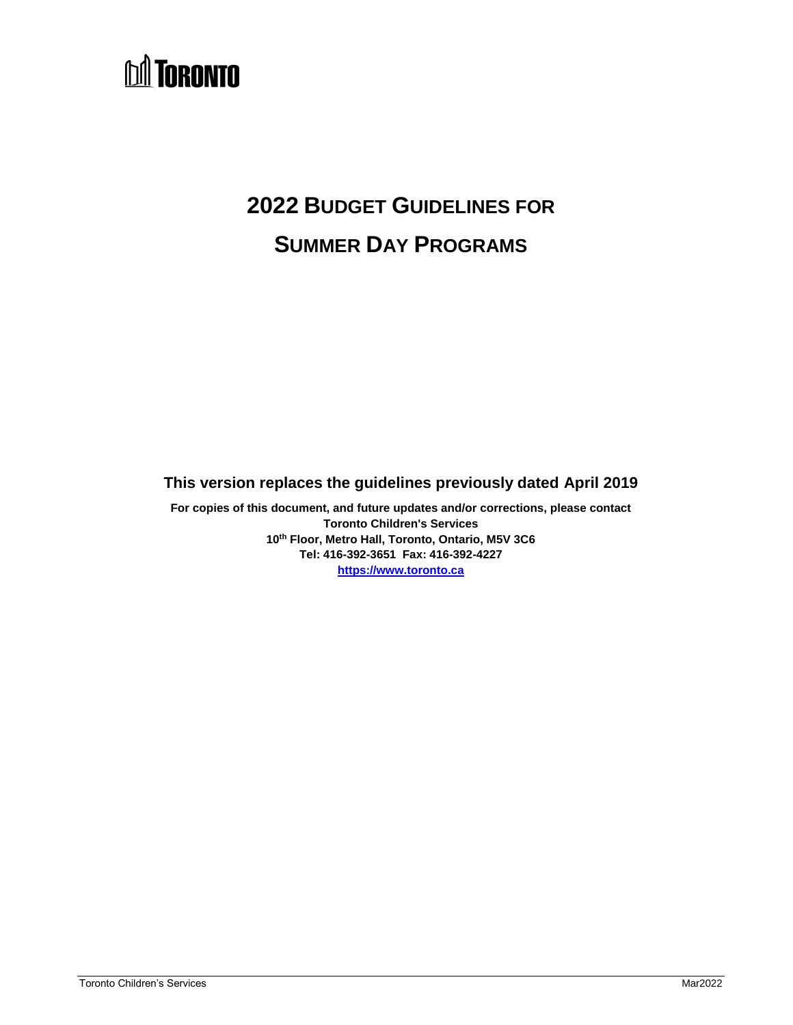# **DA TORONTO**

# **2022 BUDGET GUIDELINES FOR SUMMER DAY PROGRAMS**

# **This version replaces the guidelines previously dated April 2019**

**For copies of this document, and future updates and/or corrections, please contact Toronto Children's Services 10th Floor, Metro Hall, Toronto, Ontario, M5V 3C6 Tel: 416-392-3651 Fax: 416-392-4227 [https://www.toronto.ca](https://www.toronto.ca/community-people/community-partners/early-learning-child-care-partners/financial-information/)**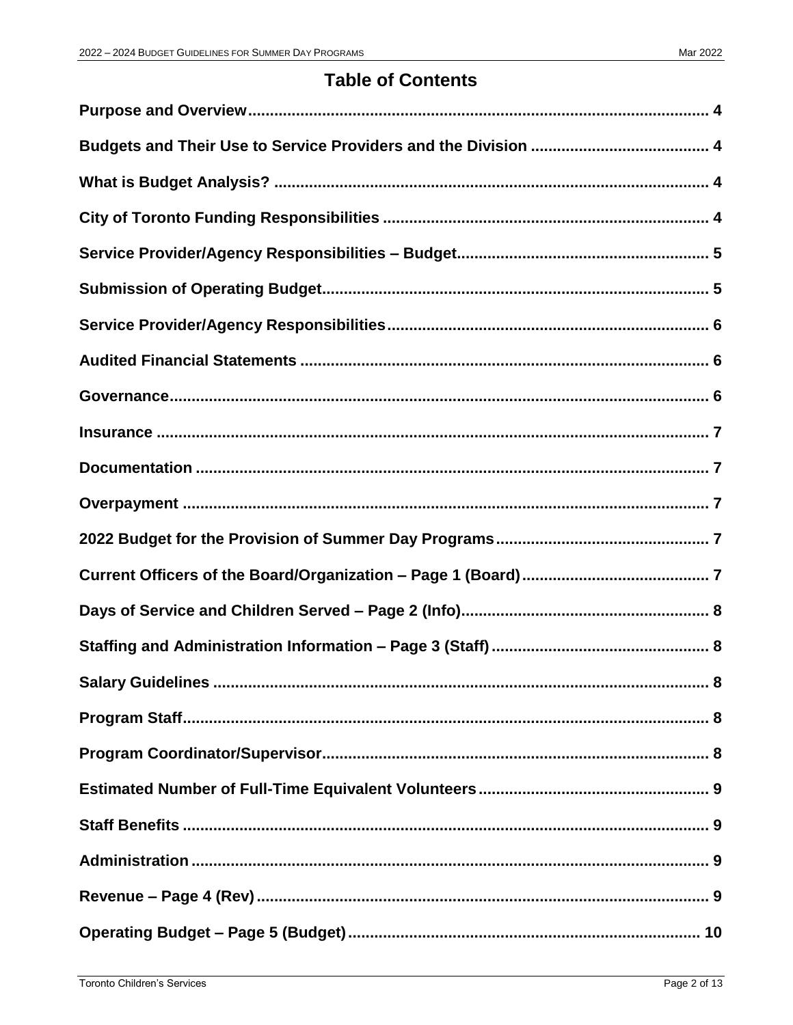# **Table of Contents**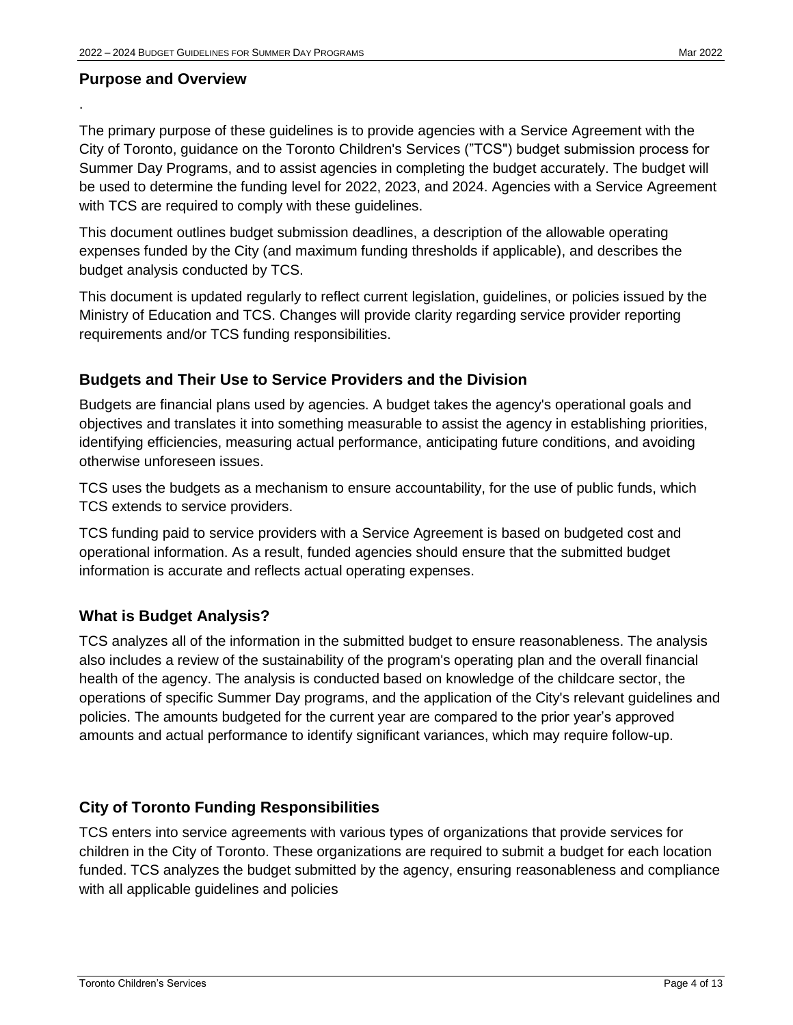# <span id="page-3-0"></span>**Purpose and Overview**

.

The primary purpose of these guidelines is to provide agencies with a Service Agreement with the City of Toronto, guidance on the Toronto Children's Services ("TCS") budget submission process for Summer Day Programs, and to assist agencies in completing the budget accurately. The budget will be used to determine the funding level for 2022, 2023, and 2024. Agencies with a Service Agreement with TCS are required to comply with these guidelines.

This document outlines budget submission deadlines, a description of the allowable operating expenses funded by the City (and maximum funding thresholds if applicable), and describes the budget analysis conducted by TCS.

This document is updated regularly to reflect current legislation, guidelines, or policies issued by the Ministry of Education and TCS. Changes will provide clarity regarding service provider reporting requirements and/or TCS funding responsibilities.

# <span id="page-3-1"></span>**Budgets and Their Use to Service Providers and the Division**

Budgets are financial plans used by agencies. A budget takes the agency's operational goals and objectives and translates it into something measurable to assist the agency in establishing priorities, identifying efficiencies, measuring actual performance, anticipating future conditions, and avoiding otherwise unforeseen issues.

TCS uses the budgets as a mechanism to ensure accountability, for the use of public funds, which TCS extends to service providers.

TCS funding paid to service providers with a Service Agreement is based on budgeted cost and operational information. As a result, funded agencies should ensure that the submitted budget information is accurate and reflects actual operating expenses.

# <span id="page-3-2"></span>**What is Budget Analysis?**

TCS analyzes all of the information in the submitted budget to ensure reasonableness. The analysis also includes a review of the sustainability of the program's operating plan and the overall financial health of the agency. The analysis is conducted based on knowledge of the childcare sector, the operations of specific Summer Day programs, and the application of the City's relevant guidelines and policies. The amounts budgeted for the current year are compared to the prior year's approved amounts and actual performance to identify significant variances, which may require follow-up.

# <span id="page-3-3"></span>**City of Toronto Funding Responsibilities**

TCS enters into service agreements with various types of organizations that provide services for children in the City of Toronto. These organizations are required to submit a budget for each location funded. TCS analyzes the budget submitted by the agency, ensuring reasonableness and compliance with all applicable guidelines and policies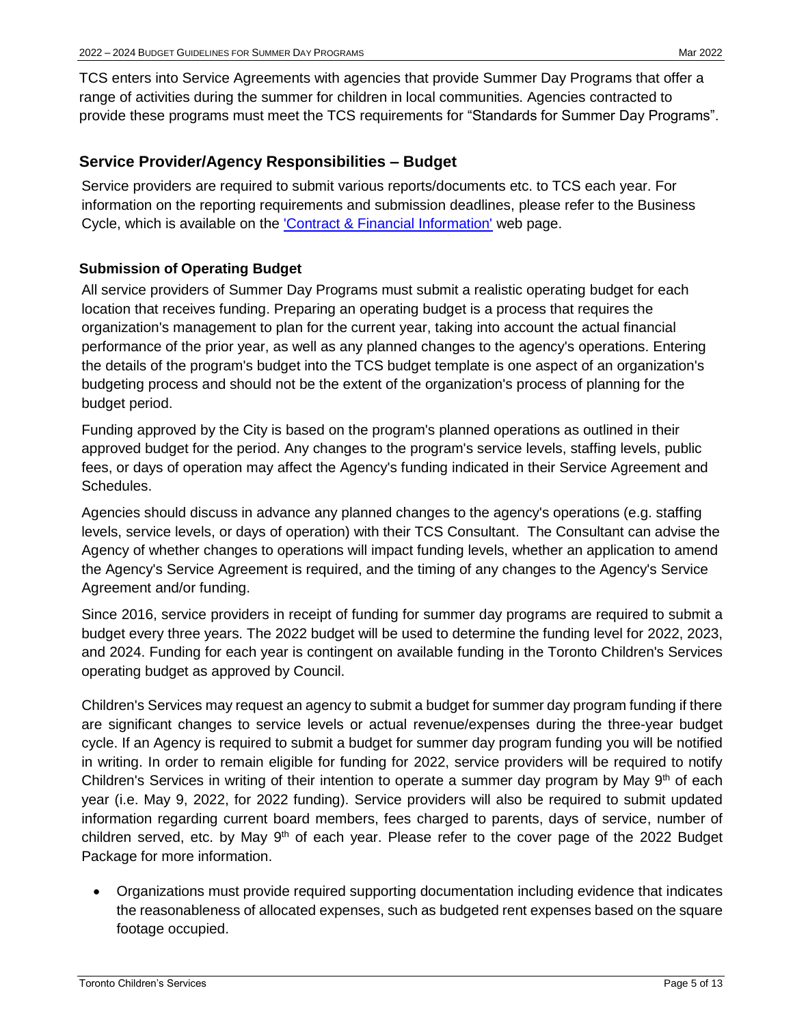TCS enters into Service Agreements with agencies that provide Summer Day Programs that offer a range of activities during the summer for children in local communities. Agencies contracted to provide these programs must meet the TCS requirements for "Standards for Summer Day Programs".

# <span id="page-4-0"></span>**Service Provider/Agency Responsibilities – Budget**

Service providers are required to submit various reports/documents etc. to TCS each year. For information on the reporting requirements and submission deadlines, please refer to the Business Cycle, which is available on the ['Contract & Financial Information'](https://www.toronto.ca/community-people/community-partners/early-learning-child-care-partners/financial-information/) web page.

# <span id="page-4-1"></span>**Submission of Operating Budget**

All service providers of Summer Day Programs must submit a realistic operating budget for each location that receives funding. Preparing an operating budget is a process that requires the organization's management to plan for the current year, taking into account the actual financial performance of the prior year, as well as any planned changes to the agency's operations. Entering the details of the program's budget into the TCS budget template is one aspect of an organization's budgeting process and should not be the extent of the organization's process of planning for the budget period.

Funding approved by the City is based on the program's planned operations as outlined in their approved budget for the period. Any changes to the program's service levels, staffing levels, public fees, or days of operation may affect the Agency's funding indicated in their Service Agreement and Schedules.

Agencies should discuss in advance any planned changes to the agency's operations (e.g. staffing levels, service levels, or days of operation) with their TCS Consultant. The Consultant can advise the Agency of whether changes to operations will impact funding levels, whether an application to amend the Agency's Service Agreement is required, and the timing of any changes to the Agency's Service Agreement and/or funding.

Since 2016, service providers in receipt of funding for summer day programs are required to submit a budget every three years. The 2022 budget will be used to determine the funding level for 2022, 2023, and 2024. Funding for each year is contingent on available funding in the Toronto Children's Services operating budget as approved by Council.

Children's Services may request an agency to submit a budget for summer day program funding if there are significant changes to service levels or actual revenue/expenses during the three-year budget cycle. If an Agency is required to submit a budget for summer day program funding you will be notified in writing. In order to remain eligible for funding for 2022, service providers will be required to notify Children's Services in writing of their intention to operate a summer day program by May  $9<sup>th</sup>$  of each year (i.e. May 9, 2022, for 2022 funding). Service providers will also be required to submit updated information regarding current board members, fees charged to parents, days of service, number of children served, etc. by May  $9<sup>th</sup>$  of each year. Please refer to the cover page of the 2022 Budget Package for more information.

 Organizations must provide required supporting documentation including evidence that indicates the reasonableness of allocated expenses, such as budgeted rent expenses based on the square footage occupied.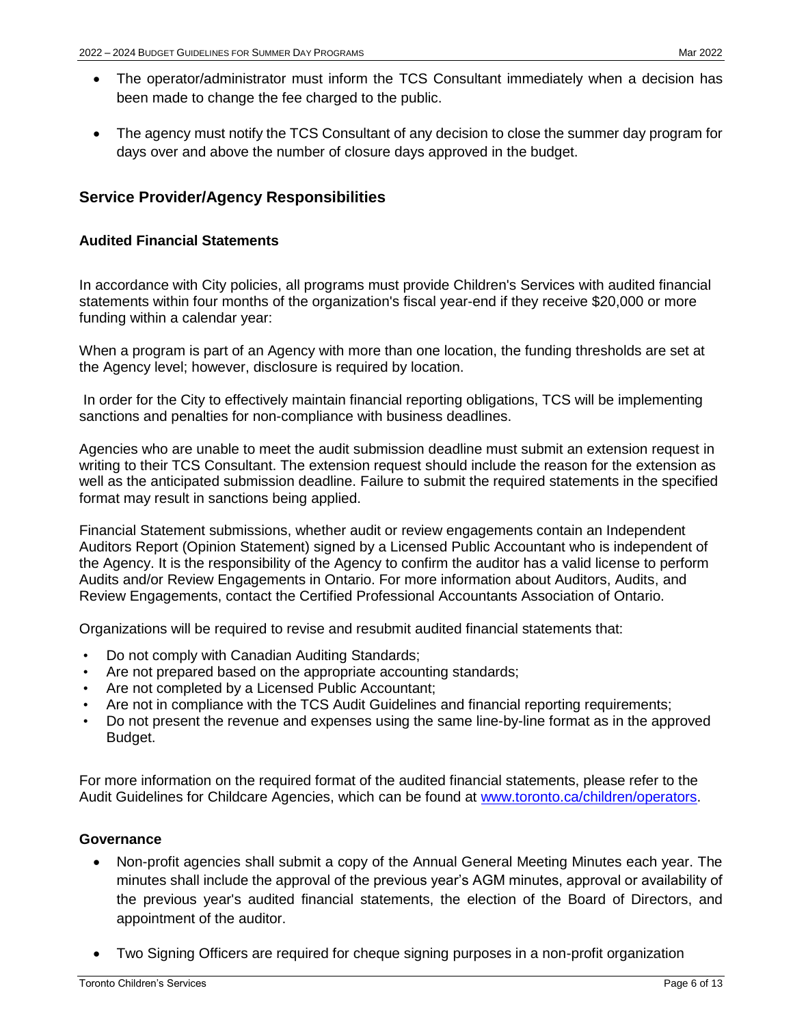- The operator/administrator must inform the TCS Consultant immediately when a decision has been made to change the fee charged to the public.
- The agency must notify the TCS Consultant of any decision to close the summer day program for days over and above the number of closure days approved in the budget.

# <span id="page-5-0"></span>**Service Provider/Agency Responsibilities**

# <span id="page-5-1"></span>**Audited Financial Statements**

In accordance with City policies, all programs must provide Children's Services with audited financial statements within four months of the organization's fiscal year-end if they receive \$20,000 or more funding within a calendar year:

When a program is part of an Agency with more than one location, the funding thresholds are set at the Agency level; however, disclosure is required by location.

 In order for the City to effectively maintain financial reporting obligations, TCS will be implementing sanctions and penalties for non-compliance with business deadlines.

Agencies who are unable to meet the audit submission deadline must submit an extension request in writing to their TCS Consultant. The extension request should include the reason for the extension as well as the anticipated submission deadline. Failure to submit the required statements in the specified format may result in sanctions being applied.

Financial Statement submissions, whether audit or review engagements contain an Independent Auditors Report (Opinion Statement) signed by a Licensed Public Accountant who is independent of the Agency. It is the responsibility of the Agency to confirm the auditor has a valid license to perform Audits and/or Review Engagements in Ontario. For more information about Auditors, Audits, and Review Engagements, contact the Certified Professional Accountants Association of Ontario.

Organizations will be required to revise and resubmit audited financial statements that:

- Do not comply with Canadian Auditing Standards;
- Are not prepared based on the appropriate accounting standards;
- Are not completed by a Licensed Public Accountant;
- Are not in compliance with the TCS Audit Guidelines and financial reporting requirements;
- Do not present the revenue and expenses using the same line-by-line format as in the approved Budget.

For more information on the required format of the audited financial statements, please refer to the Audit Guidelines for Childcare Agencies, which can be found at [www.toronto.ca/children/operators.](https://www.toronto.ca/community-people/community-partners/early-learning-child-care-partners/financial-information/)

# <span id="page-5-2"></span>**Governance**

- Non-profit agencies shall submit a copy of the Annual General Meeting Minutes each year. The minutes shall include the approval of the previous year's AGM minutes, approval or availability of the previous year's audited financial statements, the election of the Board of Directors, and appointment of the auditor.
- Two Signing Officers are required for cheque signing purposes in a non-profit organization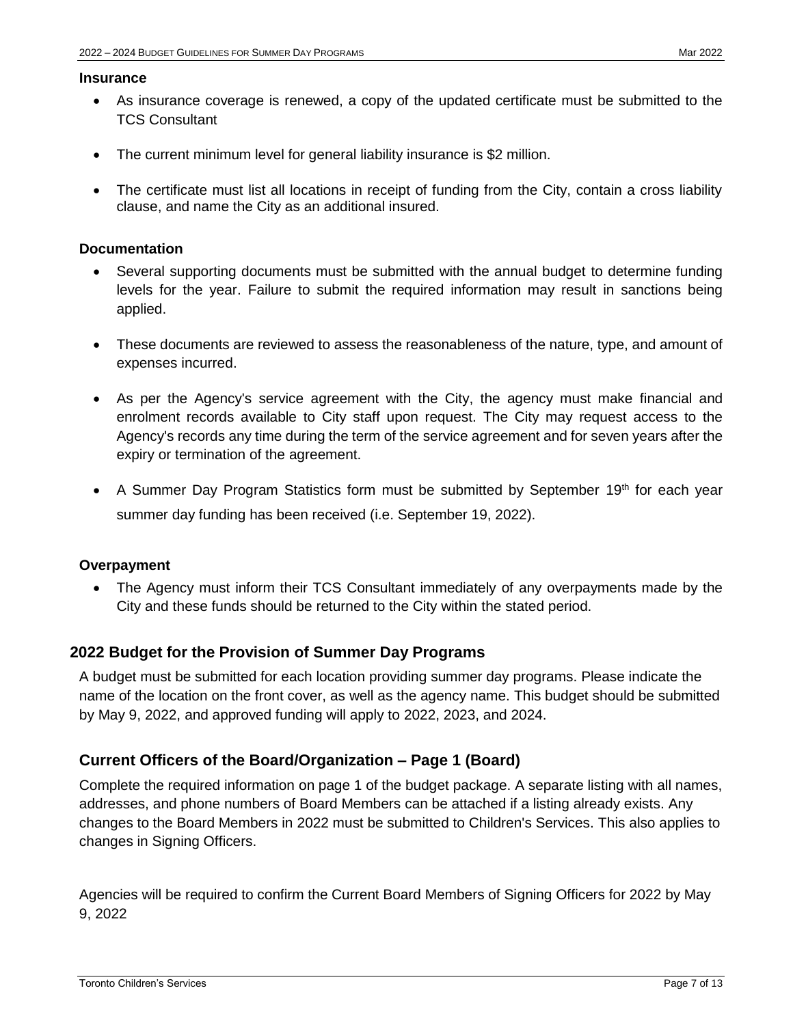#### <span id="page-6-0"></span>**Insurance**

- As insurance coverage is renewed, a copy of the updated certificate must be submitted to the TCS Consultant
- The current minimum level for general liability insurance is \$2 million.
- The certificate must list all locations in receipt of funding from the City, contain a cross liability clause, and name the City as an additional insured.

#### <span id="page-6-1"></span>**Documentation**

- Several supporting documents must be submitted with the annual budget to determine funding levels for the year. Failure to submit the required information may result in sanctions being applied.
- These documents are reviewed to assess the reasonableness of the nature, type, and amount of expenses incurred.
- As per the Agency's service agreement with the City, the agency must make financial and enrolment records available to City staff upon request. The City may request access to the Agency's records any time during the term of the service agreement and for seven years after the expiry or termination of the agreement.
- A Summer Day Program Statistics form must be submitted by September 19<sup>th</sup> for each year summer day funding has been received (i.e. September 19, 2022).

# <span id="page-6-2"></span>**Overpayment**

 The Agency must inform their TCS Consultant immediately of any overpayments made by the City and these funds should be returned to the City within the stated period.

# <span id="page-6-3"></span>**2022 Budget for the Provision of Summer Day Programs**

A budget must be submitted for each location providing summer day programs. Please indicate the name of the location on the front cover, as well as the agency name. This budget should be submitted by May 9, 2022, and approved funding will apply to 2022, 2023, and 2024.

# <span id="page-6-4"></span>**Current Officers of the Board/Organization – Page 1 (Board)**

Complete the required information on page 1 of the budget package. A separate listing with all names, addresses, and phone numbers of Board Members can be attached if a listing already exists. Any changes to the Board Members in 2022 must be submitted to Children's Services. This also applies to changes in Signing Officers.

Agencies will be required to confirm the Current Board Members of Signing Officers for 2022 by May 9, 2022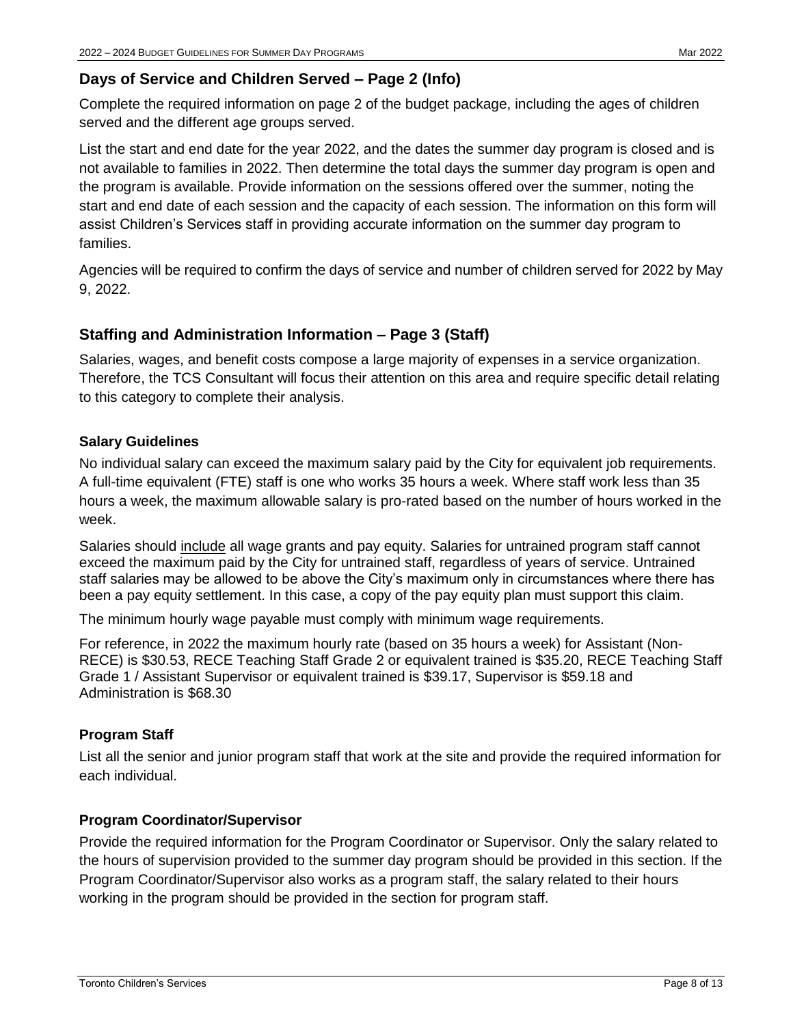# <span id="page-7-0"></span>**Days of Service and Children Served – Page 2 (Info)**

Complete the required information on page 2 of the budget package, including the ages of children served and the different age groups served.

List the start and end date for the year 2022, and the dates the summer day program is closed and is not available to families in 2022. Then determine the total days the summer day program is open and the program is available. Provide information on the sessions offered over the summer, noting the start and end date of each session and the capacity of each session. The information on this form will assist Children's Services staff in providing accurate information on the summer day program to families.

Agencies will be required to confirm the days of service and number of children served for 2022 by May 9, 2022.

# <span id="page-7-1"></span>**Staffing and Administration Information – Page 3 (Staff)**

Salaries, wages, and benefit costs compose a large majority of expenses in a service organization. Therefore, the TCS Consultant will focus their attention on this area and require specific detail relating to this category to complete their analysis.

# <span id="page-7-2"></span>**Salary Guidelines**

No individual salary can exceed the maximum salary paid by the City for equivalent job requirements. A full-time equivalent (FTE) staff is one who works 35 hours a week. Where staff work less than 35 hours a week, the maximum allowable salary is pro-rated based on the number of hours worked in the week.

Salaries should include all wage grants and pay equity. Salaries for untrained program staff cannot exceed the maximum paid by the City for untrained staff, regardless of years of service. Untrained staff salaries may be allowed to be above the City's maximum only in circumstances where there has been a pay equity settlement. In this case, a copy of the pay equity plan must support this claim.

The minimum hourly wage payable must comply with minimum wage requirements.

For reference, in 2022 the maximum hourly rate (based on 35 hours a week) for Assistant (Non-RECE) is \$30.53, RECE Teaching Staff Grade 2 or equivalent trained is \$35.20, RECE Teaching Staff Grade 1 / Assistant Supervisor or equivalent trained is \$39.17, Supervisor is \$59.18 and Administration is \$68.30

# <span id="page-7-3"></span>**Program Staff**

List all the senior and junior program staff that work at the site and provide the required information for each individual.

# <span id="page-7-4"></span>**Program Coordinator/Supervisor**

Provide the required information for the Program Coordinator or Supervisor. Only the salary related to the hours of supervision provided to the summer day program should be provided in this section. If the Program Coordinator/Supervisor also works as a program staff, the salary related to their hours working in the program should be provided in the section for program staff.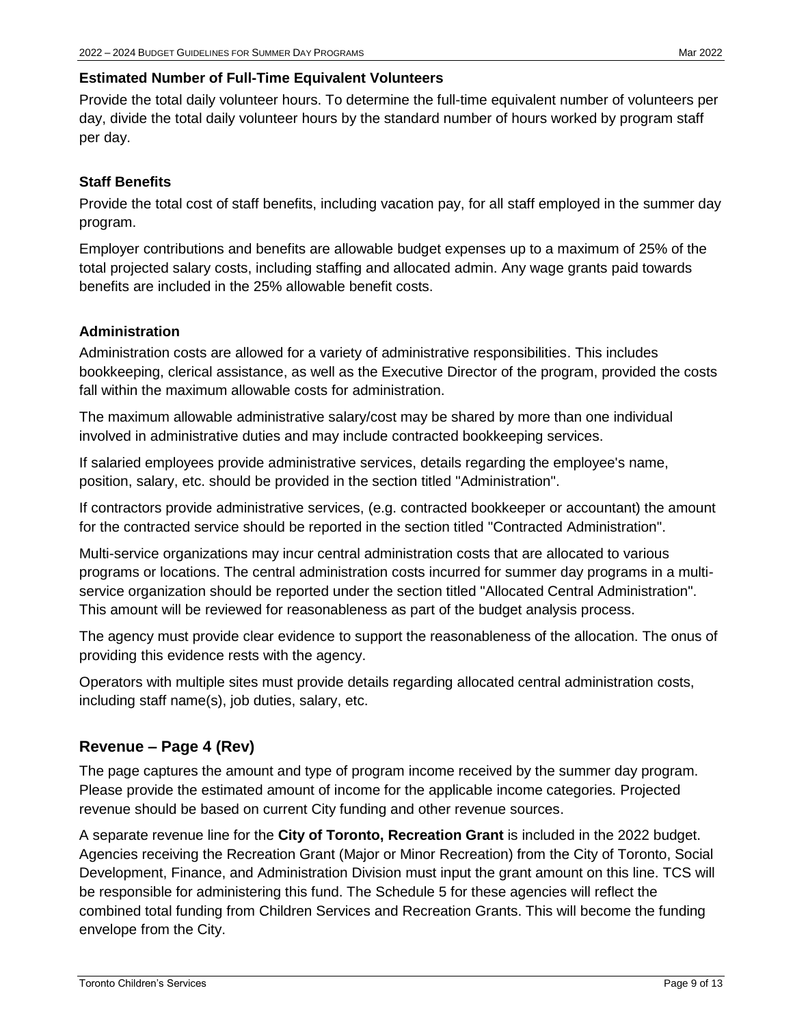# <span id="page-8-0"></span>**Estimated Number of Full-Time Equivalent Volunteers**

Provide the total daily volunteer hours. To determine the full-time equivalent number of volunteers per day, divide the total daily volunteer hours by the standard number of hours worked by program staff per day.

# <span id="page-8-1"></span>**Staff Benefits**

Provide the total cost of staff benefits, including vacation pay, for all staff employed in the summer day program.

Employer contributions and benefits are allowable budget expenses up to a maximum of 25% of the total projected salary costs, including staffing and allocated admin. Any wage grants paid towards benefits are included in the 25% allowable benefit costs.

# <span id="page-8-2"></span>**Administration**

Administration costs are allowed for a variety of administrative responsibilities. This includes bookkeeping, clerical assistance, as well as the Executive Director of the program, provided the costs fall within the maximum allowable costs for administration.

The maximum allowable administrative salary/cost may be shared by more than one individual involved in administrative duties and may include contracted bookkeeping services.

If salaried employees provide administrative services, details regarding the employee's name, position, salary, etc. should be provided in the section titled "Administration".

If contractors provide administrative services, (e.g. contracted bookkeeper or accountant) the amount for the contracted service should be reported in the section titled "Contracted Administration".

Multi-service organizations may incur central administration costs that are allocated to various programs or locations. The central administration costs incurred for summer day programs in a multiservice organization should be reported under the section titled "Allocated Central Administration". This amount will be reviewed for reasonableness as part of the budget analysis process.

The agency must provide clear evidence to support the reasonableness of the allocation. The onus of providing this evidence rests with the agency.

Operators with multiple sites must provide details regarding allocated central administration costs, including staff name(s), job duties, salary, etc.

# <span id="page-8-3"></span>**Revenue – Page 4 (Rev)**

The page captures the amount and type of program income received by the summer day program. Please provide the estimated amount of income for the applicable income categories. Projected revenue should be based on current City funding and other revenue sources.

A separate revenue line for the **City of Toronto, Recreation Grant** is included in the 2022 budget. Agencies receiving the Recreation Grant (Major or Minor Recreation) from the City of Toronto, Social Development, Finance, and Administration Division must input the grant amount on this line. TCS will be responsible for administering this fund. The Schedule 5 for these agencies will reflect the combined total funding from Children Services and Recreation Grants. This will become the funding envelope from the City.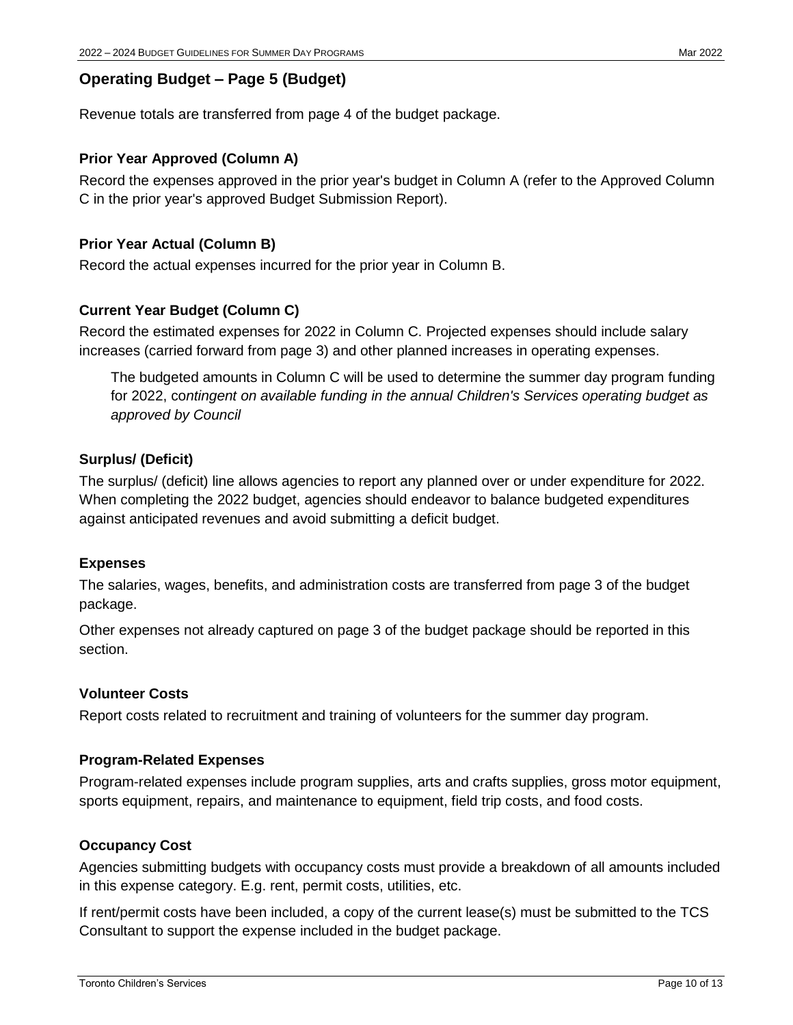# <span id="page-9-0"></span>**Operating Budget – Page 5 (Budget)**

<span id="page-9-1"></span>Revenue totals are transferred from page 4 of the budget package.

# **Prior Year Approved (Column A)**

Record the expenses approved in the prior year's budget in Column A (refer to the Approved Column C in the prior year's approved Budget Submission Report).

# <span id="page-9-2"></span>**Prior Year Actual (Column B)**

Record the actual expenses incurred for the prior year in Column B.

# <span id="page-9-3"></span>**Current Year Budget (Column C)**

Record the estimated expenses for 2022 in Column C. Projected expenses should include salary increases (carried forward from page 3) and other planned increases in operating expenses.

The budgeted amounts in Column C will be used to determine the summer day program funding for 2022, co*ntingent on available funding in the annual Children's Services operating budget as approved by Council*

# <span id="page-9-4"></span>**Surplus/ (Deficit)**

The surplus/ (deficit) line allows agencies to report any planned over or under expenditure for 2022. When completing the 2022 budget, agencies should endeavor to balance budgeted expenditures against anticipated revenues and avoid submitting a deficit budget.

# <span id="page-9-5"></span>**Expenses**

The salaries, wages, benefits, and administration costs are transferred from page 3 of the budget package.

Other expenses not already captured on page 3 of the budget package should be reported in this section.

# <span id="page-9-6"></span>**Volunteer Costs**

Report costs related to recruitment and training of volunteers for the summer day program.

# <span id="page-9-7"></span>**Program-Related Expenses**

Program-related expenses include program supplies, arts and crafts supplies, gross motor equipment, sports equipment, repairs, and maintenance to equipment, field trip costs, and food costs.

# <span id="page-9-8"></span>**Occupancy Cost**

Agencies submitting budgets with occupancy costs must provide a breakdown of all amounts included in this expense category. E.g. rent, permit costs, utilities, etc.

If rent/permit costs have been included, a copy of the current lease(s) must be submitted to the TCS Consultant to support the expense included in the budget package.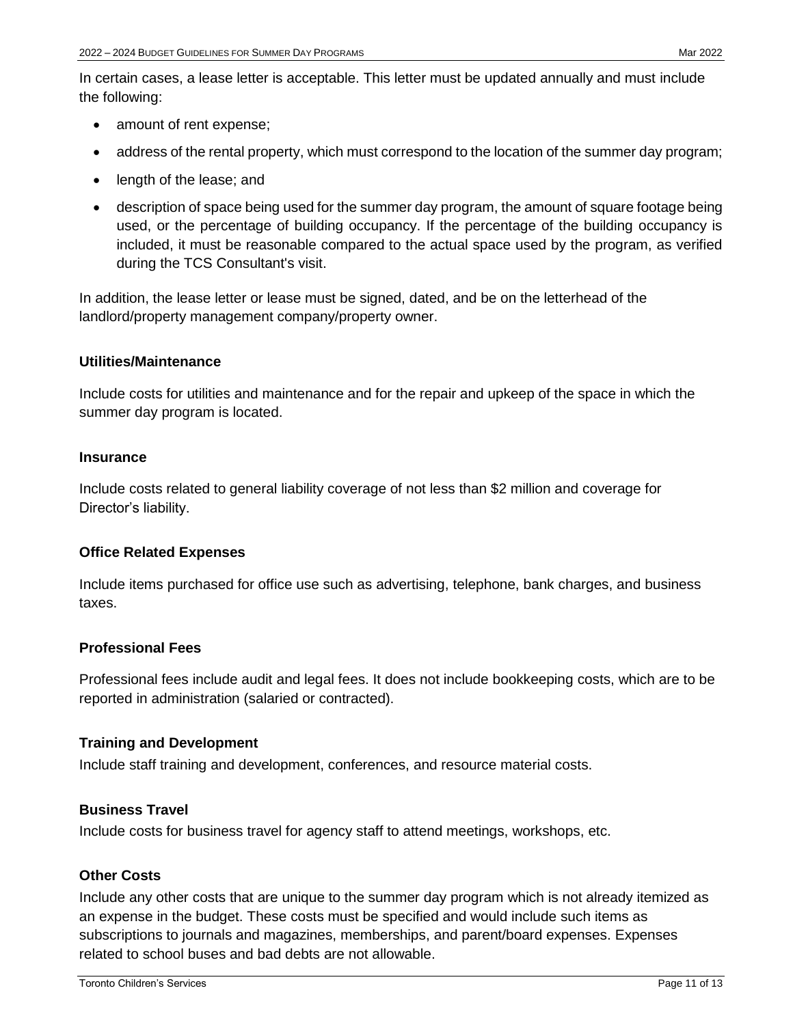In certain cases, a lease letter is acceptable. This letter must be updated annually and must include the following:

- amount of rent expense;
- address of the rental property, which must correspond to the location of the summer day program;
- length of the lease; and
- description of space being used for the summer day program, the amount of square footage being used, or the percentage of building occupancy. If the percentage of the building occupancy is included, it must be reasonable compared to the actual space used by the program, as verified during the TCS Consultant's visit.

In addition, the lease letter or lease must be signed, dated, and be on the letterhead of the landlord/property management company/property owner.

#### <span id="page-10-0"></span>**Utilities/Maintenance**

Include costs for utilities and maintenance and for the repair and upkeep of the space in which the summer day program is located.

#### <span id="page-10-1"></span>**Insurance**

Include costs related to general liability coverage of not less than \$2 million and coverage for Director's liability.

# <span id="page-10-2"></span>**Office Related Expenses**

Include items purchased for office use such as advertising, telephone, bank charges, and business taxes.

#### <span id="page-10-3"></span>**Professional Fees**

Professional fees include audit and legal fees. It does not include bookkeeping costs, which are to be reported in administration (salaried or contracted).

#### <span id="page-10-4"></span>**Training and Development**

Include staff training and development, conferences, and resource material costs.

#### <span id="page-10-5"></span>**Business Travel**

Include costs for business travel for agency staff to attend meetings, workshops, etc.

#### <span id="page-10-6"></span>**Other Costs**

Include any other costs that are unique to the summer day program which is not already itemized as an expense in the budget. These costs must be specified and would include such items as subscriptions to journals and magazines, memberships, and parent/board expenses. Expenses related to school buses and bad debts are not allowable.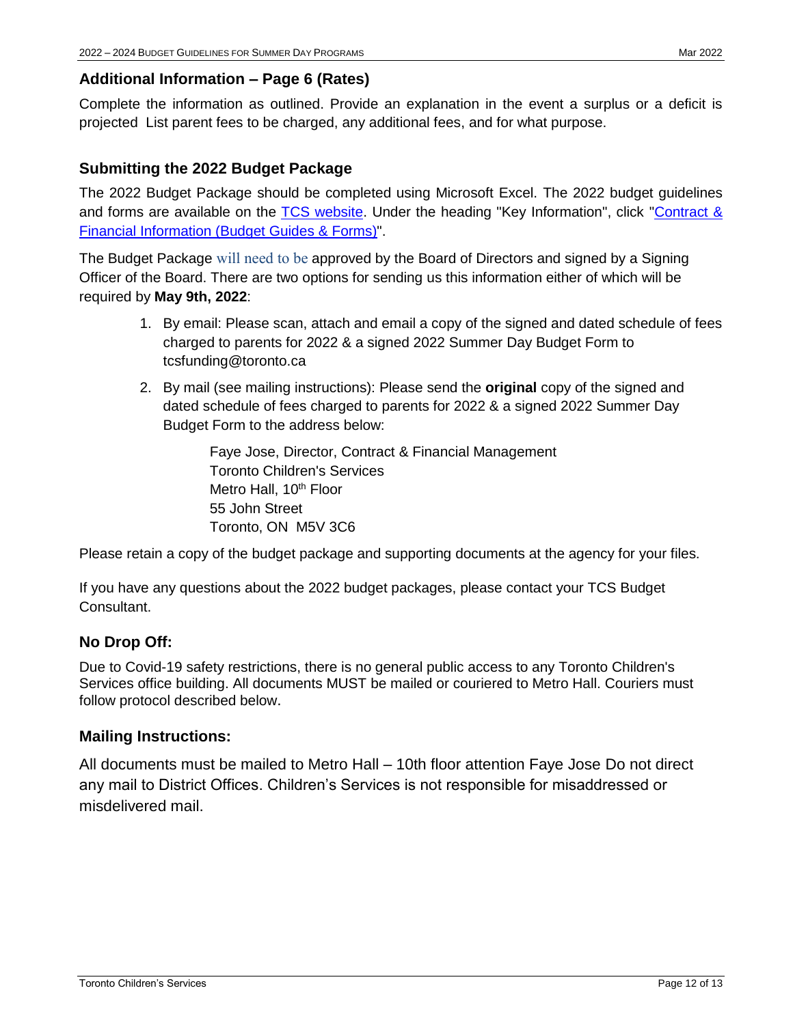# <span id="page-11-0"></span>**Additional Information – Page 6 (Rates)**

Complete the information as outlined. Provide an explanation in the event a surplus or a deficit is projected List parent fees to be charged, any additional fees, and for what purpose.

# <span id="page-11-1"></span>**Submitting the 2022 Budget Package**

The 2022 Budget Package should be completed using Microsoft Excel. The 2022 budget guidelines and forms are available on the [TCS website.](http://www.toronto.ca/children/operators) Under the heading "Key Information", click "Contract & [Financial Information \(Budget Guides & Forms\)"](https://www.toronto.ca/community-people/community-partners/early-learning-child-care-partners/financial-information/).

The Budget Package will need to be approved by the Board of Directors and signed by a Signing Officer of the Board. There are two options for sending us this information either of which will be required by **May 9th, 2022**:

- 1. By email: Please scan, attach and email a copy of the signed and dated schedule of fees charged to parents for 2022 & a signed 2022 Summer Day Budget Form to tcsfunding@toronto.ca
- 2. By mail (see mailing instructions): Please send the **original** copy of the signed and dated schedule of fees charged to parents for 2022 & a signed 2022 Summer Day Budget Form to the address below:

Faye Jose, Director, Contract & Financial Management Toronto Children's Services Metro Hall, 10<sup>th</sup> Floor 55 John Street Toronto, ON M5V 3C6

Please retain a copy of the budget package and supporting documents at the agency for your files.

If you have any questions about the 2022 budget packages, please contact your TCS Budget Consultant.

# **No Drop Off:**

Due to Covid-19 safety restrictions, there is no general public access to any Toronto Children's Services office building. All documents MUST be mailed or couriered to Metro Hall. Couriers must follow protocol described below.

# **Mailing Instructions:**

All documents must be mailed to Metro Hall – 10th floor attention Faye Jose Do not direct any mail to District Offices. Children's Services is not responsible for misaddressed or misdelivered mail.